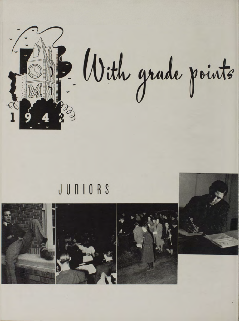

## JUNIORS

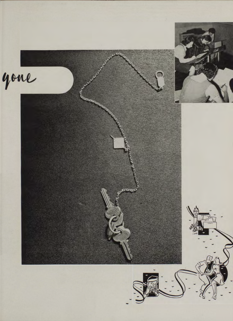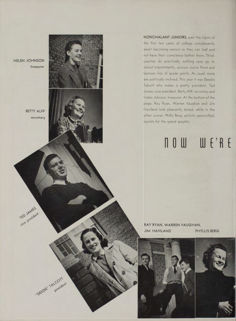HELEN JOHNSON tre a surer

> BETTY ALFF **s e c re ta ry**

TED JAMES

"DEEDIE" TALCOTT

NONCHALANT JUNIORS, past the rigors of the first two years of college complacently await becoming seniors so they can loaf and not have their conscience bother them. Thirdyearites do practically nothing save go to school intermittently, sponsor Junior Prom and bemoan loss of grade points. As usual, some are politically inclined. This year it was Deedie Talcott who makes a pretty president, Ted James, vice president, Betty Alff, secretary and Helen Johnson, treasurer. At the bottom of the page, Ray Ryan, Warren Vaughan and Jim Haviland look pleasantly bored, while in the other corner, Phillis Berg, activity personified, squints for the speed graphic.

## now we're

RAY RYAN, WARREN VAUGHAN, JIM HAVILAND PHYLLIS BERG